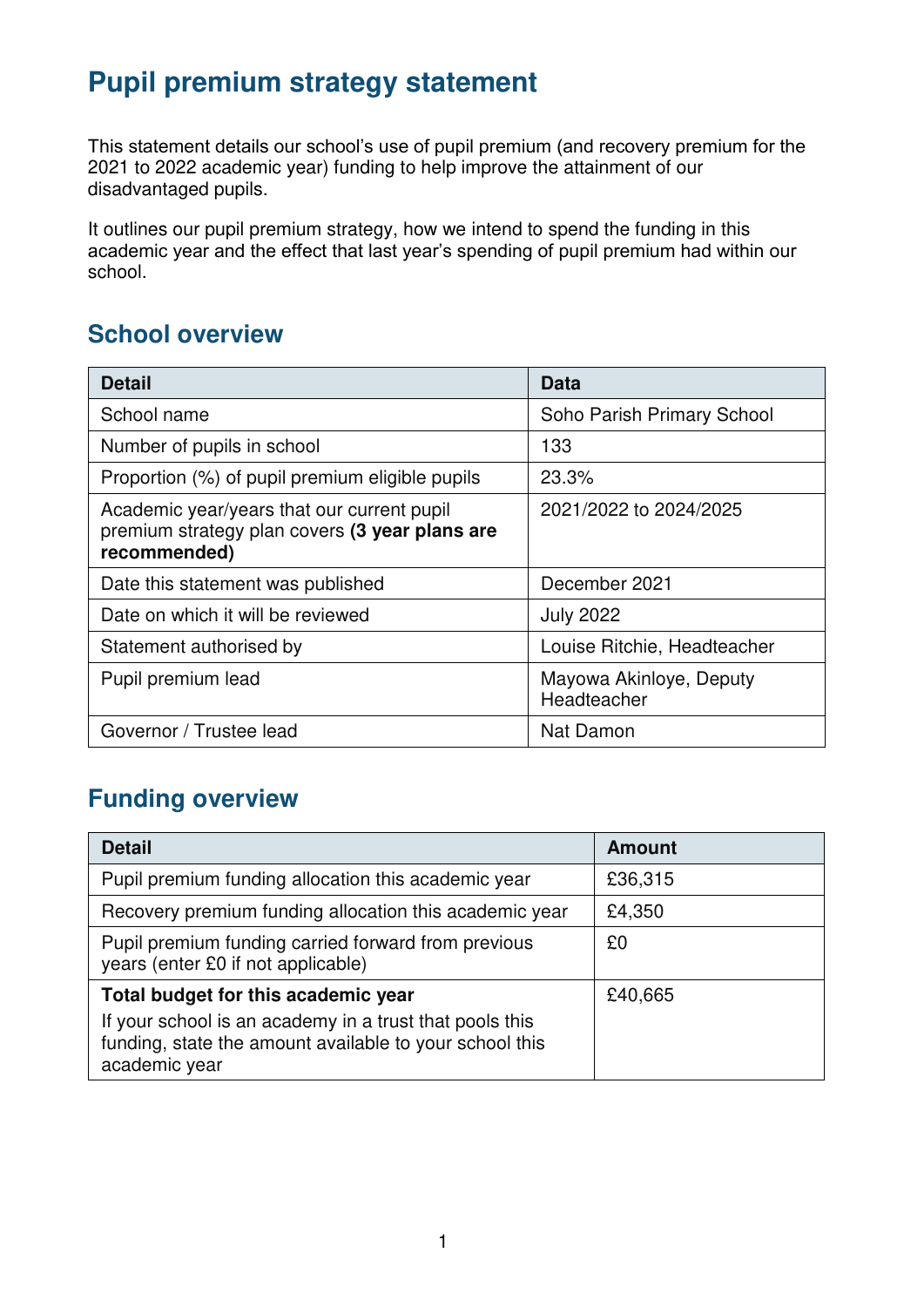# **Pupil premium strategy statement**

This statement details our school's use of pupil premium (and recovery premium for the 2021 to 2022 academic year) funding to help improve the attainment of our disadvantaged pupils.

It outlines our pupil premium strategy, how we intend to spend the funding in this academic year and the effect that last year's spending of pupil premium had within our school.

### **School overview**

| <b>Detail</b>                                                                                                | <b>Data</b>                            |
|--------------------------------------------------------------------------------------------------------------|----------------------------------------|
| School name                                                                                                  | Soho Parish Primary School             |
| Number of pupils in school                                                                                   | 133                                    |
| Proportion (%) of pupil premium eligible pupils                                                              | 23.3%                                  |
| Academic year/years that our current pupil<br>premium strategy plan covers (3 year plans are<br>recommended) | 2021/2022 to 2024/2025                 |
| Date this statement was published                                                                            | December 2021                          |
| Date on which it will be reviewed                                                                            | <b>July 2022</b>                       |
| Statement authorised by                                                                                      | Louise Ritchie, Headteacher            |
| Pupil premium lead                                                                                           | Mayowa Akinloye, Deputy<br>Headteacher |
| Governor / Trustee lead                                                                                      | <b>Nat Damon</b>                       |

## **Funding overview**

| <b>Detail</b>                                                                                                                       | <b>Amount</b> |
|-------------------------------------------------------------------------------------------------------------------------------------|---------------|
| Pupil premium funding allocation this academic year                                                                                 | £36,315       |
| Recovery premium funding allocation this academic year                                                                              | £4,350        |
| Pupil premium funding carried forward from previous<br>years (enter £0 if not applicable)                                           | £0            |
| Total budget for this academic year                                                                                                 | £40,665       |
| If your school is an academy in a trust that pools this<br>funding, state the amount available to your school this<br>academic year |               |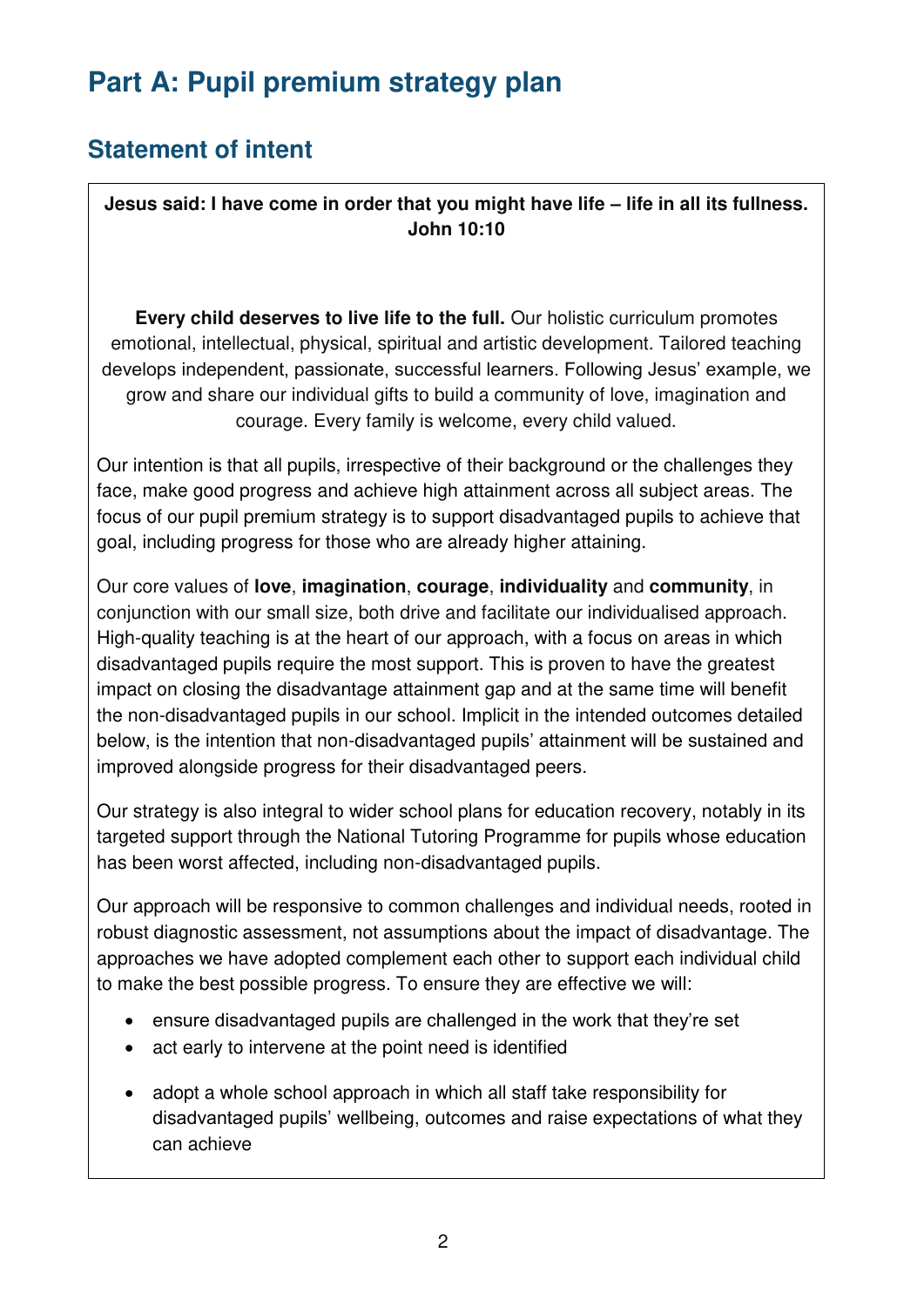# **Part A: Pupil premium strategy plan**

# **Statement of intent**

**Jesus said: I have come in order that you might have life – life in all its fullness. John 10:10** 

**Every child deserves to live life to the full.** Our holistic curriculum promotes emotional, intellectual, physical, spiritual and artistic development. Tailored teaching develops independent, passionate, successful learners. Following Jesus' example, we grow and share our individual gifts to build a community of love, imagination and courage. Every family is welcome, every child valued.

Our intention is that all pupils, irrespective of their background or the challenges they face, make good progress and achieve high attainment across all subject areas. The focus of our pupil premium strategy is to support disadvantaged pupils to achieve that goal, including progress for those who are already higher attaining.

Our core values of **love**, **imagination**, **courage**, **individuality** and **community**, in conjunction with our small size, both drive and facilitate our individualised approach. High-quality teaching is at the heart of our approach, with a focus on areas in which disadvantaged pupils require the most support. This is proven to have the greatest impact on closing the disadvantage attainment gap and at the same time will benefit the non-disadvantaged pupils in our school. Implicit in the intended outcomes detailed below, is the intention that non-disadvantaged pupils' attainment will be sustained and improved alongside progress for their disadvantaged peers.

Our strategy is also integral to wider school plans for education recovery, notably in its targeted support through the National Tutoring Programme for pupils whose education has been worst affected, including non-disadvantaged pupils.

Our approach will be responsive to common challenges and individual needs, rooted in robust diagnostic assessment, not assumptions about the impact of disadvantage. The approaches we have adopted complement each other to support each individual child to make the best possible progress. To ensure they are effective we will:

- ensure disadvantaged pupils are challenged in the work that they're set
- act early to intervene at the point need is identified
- adopt a whole school approach in which all staff take responsibility for disadvantaged pupils' wellbeing, outcomes and raise expectations of what they can achieve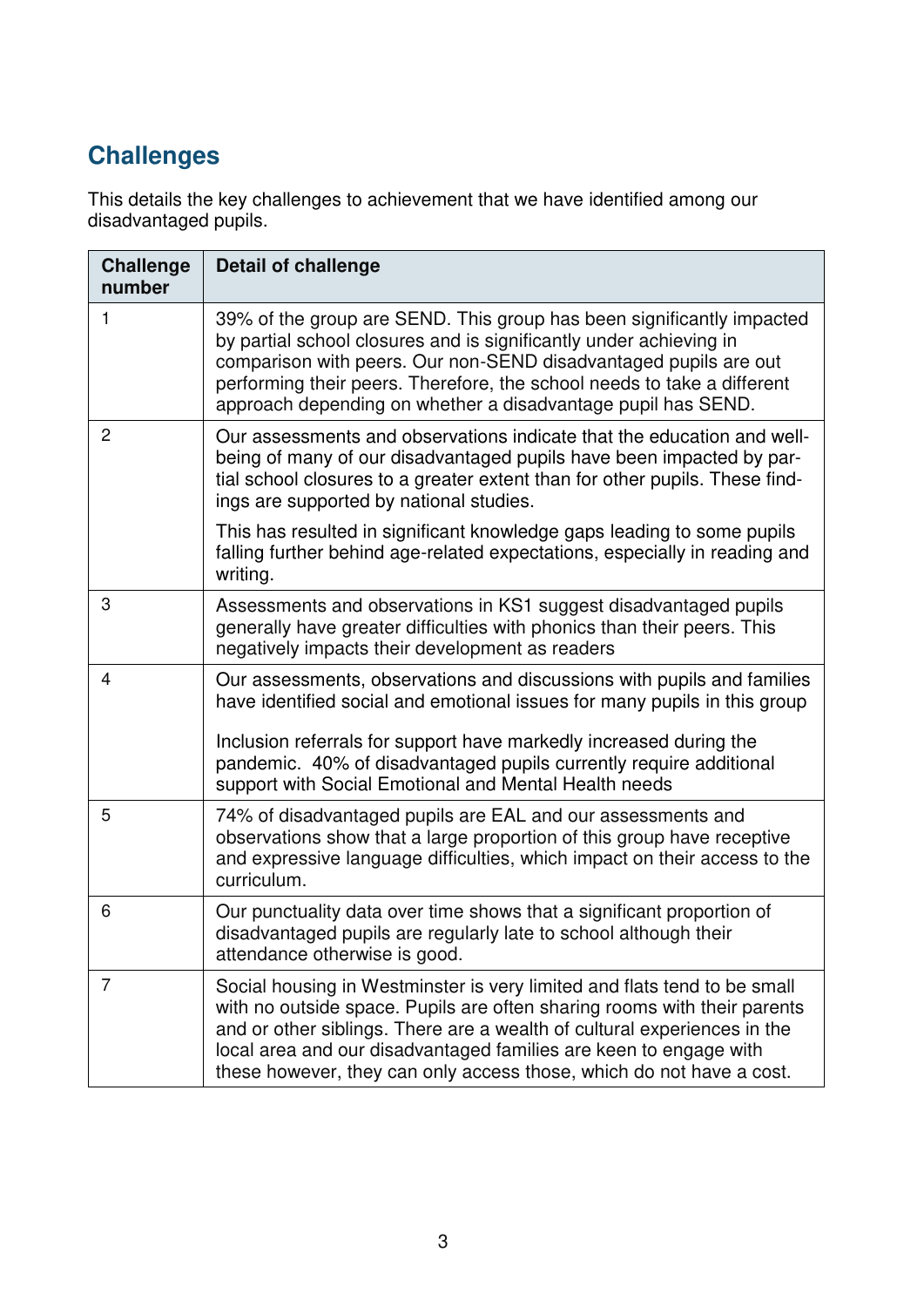# **Challenges**

This details the key challenges to achievement that we have identified among our disadvantaged pupils.

| <b>Challenge</b><br>number | <b>Detail of challenge</b>                                                                                                                                                                                                                                                                                                                                                    |
|----------------------------|-------------------------------------------------------------------------------------------------------------------------------------------------------------------------------------------------------------------------------------------------------------------------------------------------------------------------------------------------------------------------------|
| 1                          | 39% of the group are SEND. This group has been significantly impacted<br>by partial school closures and is significantly under achieving in<br>comparison with peers. Our non-SEND disadvantaged pupils are out<br>performing their peers. Therefore, the school needs to take a different<br>approach depending on whether a disadvantage pupil has SEND.                    |
| $\overline{c}$             | Our assessments and observations indicate that the education and well-<br>being of many of our disadvantaged pupils have been impacted by par-<br>tial school closures to a greater extent than for other pupils. These find-<br>ings are supported by national studies.                                                                                                      |
|                            | This has resulted in significant knowledge gaps leading to some pupils<br>falling further behind age-related expectations, especially in reading and<br>writing.                                                                                                                                                                                                              |
| 3                          | Assessments and observations in KS1 suggest disadvantaged pupils<br>generally have greater difficulties with phonics than their peers. This<br>negatively impacts their development as readers                                                                                                                                                                                |
| 4                          | Our assessments, observations and discussions with pupils and families<br>have identified social and emotional issues for many pupils in this group                                                                                                                                                                                                                           |
|                            | Inclusion referrals for support have markedly increased during the<br>pandemic. 40% of disadvantaged pupils currently require additional<br>support with Social Emotional and Mental Health needs                                                                                                                                                                             |
| 5                          | 74% of disadvantaged pupils are EAL and our assessments and<br>observations show that a large proportion of this group have receptive<br>and expressive language difficulties, which impact on their access to the<br>curriculum.                                                                                                                                             |
| 6                          | Our punctuality data over time shows that a significant proportion of<br>disadvantaged pupils are regularly late to school although their<br>attendance otherwise is good.                                                                                                                                                                                                    |
| 7                          | Social housing in Westminster is very limited and flats tend to be small<br>with no outside space. Pupils are often sharing rooms with their parents<br>and or other siblings. There are a wealth of cultural experiences in the<br>local area and our disadvantaged families are keen to engage with<br>these however, they can only access those, which do not have a cost. |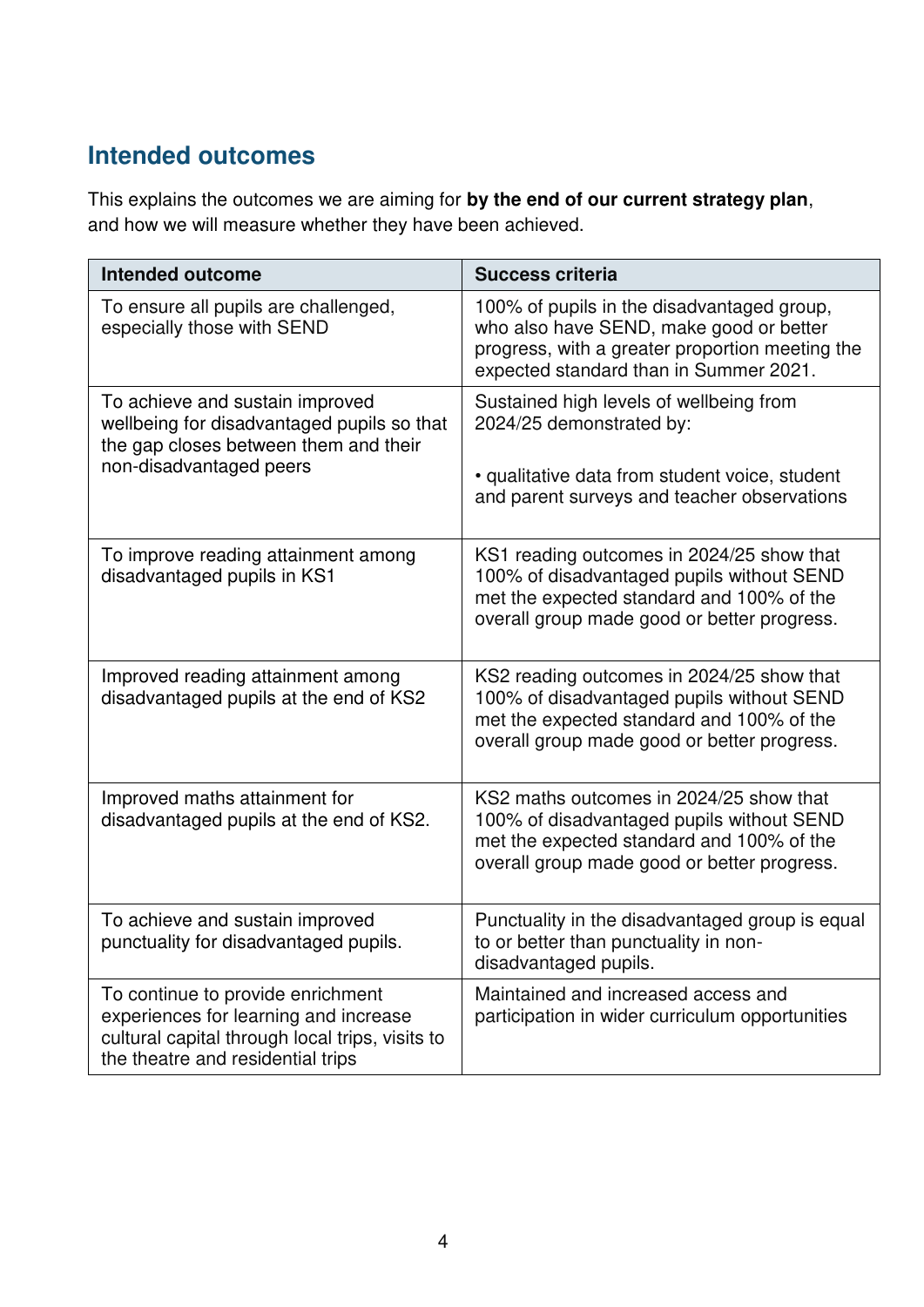# **Intended outcomes**

This explains the outcomes we are aiming for **by the end of our current strategy plan**, and how we will measure whether they have been achieved.

| <b>Intended outcome</b>                                                                                                                                            | <b>Success criteria</b>                                                                                                                                                            |
|--------------------------------------------------------------------------------------------------------------------------------------------------------------------|------------------------------------------------------------------------------------------------------------------------------------------------------------------------------------|
| To ensure all pupils are challenged,<br>especially those with SEND                                                                                                 | 100% of pupils in the disadvantaged group,<br>who also have SEND, make good or better<br>progress, with a greater proportion meeting the<br>expected standard than in Summer 2021. |
| To achieve and sustain improved<br>wellbeing for disadvantaged pupils so that<br>the gap closes between them and their<br>non-disadvantaged peers                  | Sustained high levels of wellbeing from<br>2024/25 demonstrated by:<br>· qualitative data from student voice, student<br>and parent surveys and teacher observations               |
| To improve reading attainment among<br>disadvantaged pupils in KS1                                                                                                 | KS1 reading outcomes in 2024/25 show that<br>100% of disadvantaged pupils without SEND<br>met the expected standard and 100% of the<br>overall group made good or better progress. |
| Improved reading attainment among<br>disadvantaged pupils at the end of KS2                                                                                        | KS2 reading outcomes in 2024/25 show that<br>100% of disadvantaged pupils without SEND<br>met the expected standard and 100% of the<br>overall group made good or better progress. |
| Improved maths attainment for<br>disadvantaged pupils at the end of KS2.                                                                                           | KS2 maths outcomes in 2024/25 show that<br>100% of disadvantaged pupils without SEND<br>met the expected standard and 100% of the<br>overall group made good or better progress.   |
| To achieve and sustain improved<br>punctuality for disadvantaged pupils.                                                                                           | Punctuality in the disadvantaged group is equal<br>to or better than punctuality in non-<br>disadvantaged pupils.                                                                  |
| To continue to provide enrichment<br>experiences for learning and increase<br>cultural capital through local trips, visits to<br>the theatre and residential trips | Maintained and increased access and<br>participation in wider curriculum opportunities                                                                                             |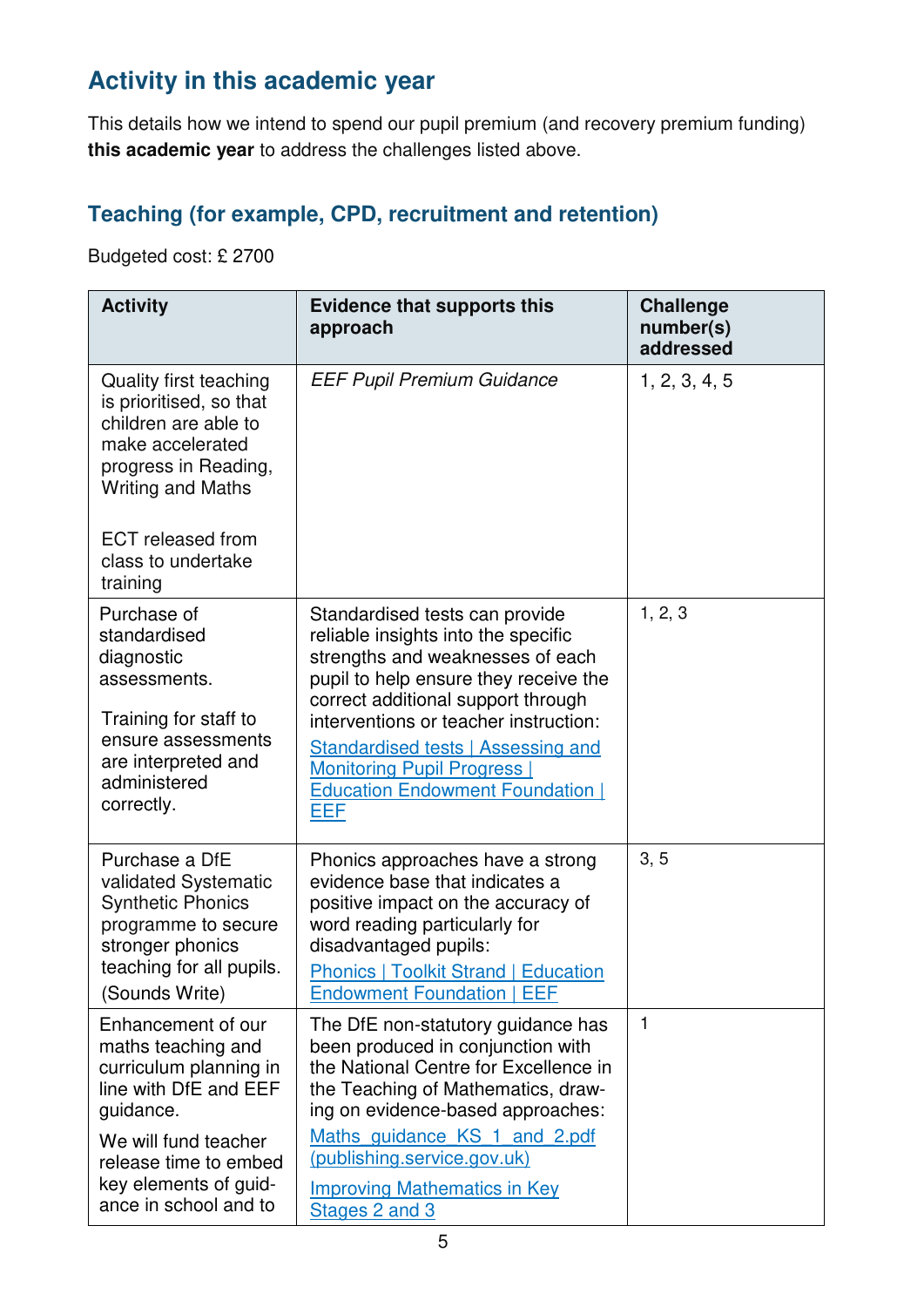# **Activity in this academic year**

This details how we intend to spend our pupil premium (and recovery premium funding) **this academic year** to address the challenges listed above.

### **Teaching (for example, CPD, recruitment and retention)**

Budgeted cost: £ 2700

| <b>Activity</b>                                                                                                                                                                                                        | <b>Evidence that supports this</b><br>approach                                                                                                                                                                                                                                                                                                                         | <b>Challenge</b><br>number(s)<br>addressed |
|------------------------------------------------------------------------------------------------------------------------------------------------------------------------------------------------------------------------|------------------------------------------------------------------------------------------------------------------------------------------------------------------------------------------------------------------------------------------------------------------------------------------------------------------------------------------------------------------------|--------------------------------------------|
| <b>Quality first teaching</b><br>is prioritised, so that<br>children are able to<br>make accelerated<br>progress in Reading,<br><b>Writing and Maths</b><br><b>ECT</b> released from<br>class to undertake<br>training | <b>EEF Pupil Premium Guidance</b>                                                                                                                                                                                                                                                                                                                                      | 1, 2, 3, 4, 5                              |
| Purchase of<br>standardised<br>diagnostic<br>assessments.<br>Training for staff to<br>ensure assessments<br>are interpreted and<br>administered<br>correctly.                                                          | Standardised tests can provide<br>reliable insights into the specific<br>strengths and weaknesses of each<br>pupil to help ensure they receive the<br>correct additional support through<br>interventions or teacher instruction:<br><b>Standardised tests   Assessing and</b><br><b>Monitoring Pupil Progress  </b><br><b>Education Endowment Foundation  </b><br>EEF | 1, 2, 3                                    |
| Purchase a DfE<br>validated Systematic<br><b>Synthetic Phonics</b><br>programme to secure<br>stronger phonics<br>teaching for all pupils.<br>(Sounds Write)                                                            | Phonics approaches have a strong<br>evidence base that indicates a<br>positive impact on the accuracy of<br>word reading particularly for<br>disadvantaged pupils:<br><b>Phonics   Toolkit Strand   Education</b><br><b>Endowment Foundation   EEF</b>                                                                                                                 | 3, 5                                       |
| Enhancement of our<br>maths teaching and<br>curriculum planning in<br>line with DfE and EEF<br>guidance.<br>We will fund teacher<br>release time to embed<br>key elements of guid-<br>ance in school and to            | The DfE non-statutory guidance has<br>been produced in conjunction with<br>the National Centre for Excellence in<br>the Teaching of Mathematics, draw-<br>ing on evidence-based approaches:<br>Maths guidance KS 1 and 2.pdf<br>(publishing.service.gov.uk)<br><b>Improving Mathematics in Key</b><br>Stages 2 and 3                                                   | 1                                          |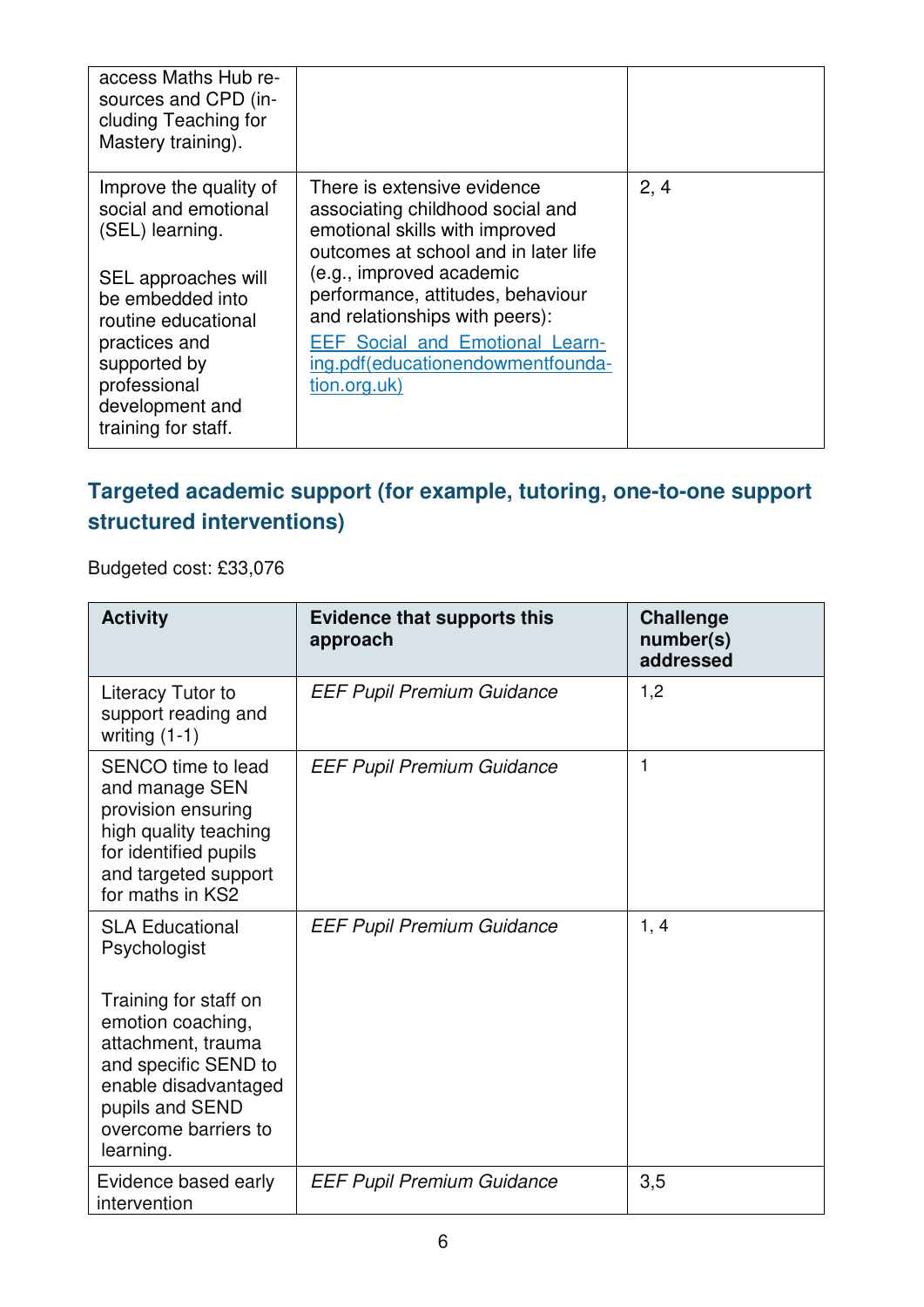| access Maths Hub re-<br>sources and CPD (in-<br>cluding Teaching for<br>Mastery training).                                                                                                                                     |                                                                                                                                                                                                                                                                                                                                             |      |
|--------------------------------------------------------------------------------------------------------------------------------------------------------------------------------------------------------------------------------|---------------------------------------------------------------------------------------------------------------------------------------------------------------------------------------------------------------------------------------------------------------------------------------------------------------------------------------------|------|
| Improve the quality of<br>social and emotional<br>(SEL) learning.<br>SEL approaches will<br>be embedded into<br>routine educational<br>practices and<br>supported by<br>professional<br>development and<br>training for staff. | There is extensive evidence<br>associating childhood social and<br>emotional skills with improved<br>outcomes at school and in later life<br>(e.g., improved academic<br>performance, attitudes, behaviour<br>and relationships with peers):<br><b>EEF Social and Emotional Learn-</b><br>ing.pdf(educationendowmentfounda-<br>tion.org.uk) | 2, 4 |

### **Targeted academic support (for example, tutoring, one-to-one support structured interventions)**

Budgeted cost: £33,076

| <b>Activity</b>                                                                                                                                                          | <b>Evidence that supports this</b><br>approach | <b>Challenge</b><br>number(s)<br>addressed |
|--------------------------------------------------------------------------------------------------------------------------------------------------------------------------|------------------------------------------------|--------------------------------------------|
| Literacy Tutor to<br>support reading and<br>writing $(1-1)$                                                                                                              | <b>EEF Pupil Premium Guidance</b>              | 1,2                                        |
| SENCO time to lead<br>and manage SEN<br>provision ensuring<br>high quality teaching<br>for identified pupils<br>and targeted support<br>for maths in KS2                 | <b>EEF Pupil Premium Guidance</b>              | 1                                          |
| <b>SLA Educational</b><br>Psychologist                                                                                                                                   | <b>EEF Pupil Premium Guidance</b>              | 1, 4                                       |
| Training for staff on<br>emotion coaching,<br>attachment, trauma<br>and specific SEND to<br>enable disadvantaged<br>pupils and SEND<br>overcome barriers to<br>learning. |                                                |                                            |
| Evidence based early<br>intervention                                                                                                                                     | <b>EEF Pupil Premium Guidance</b>              | 3,5                                        |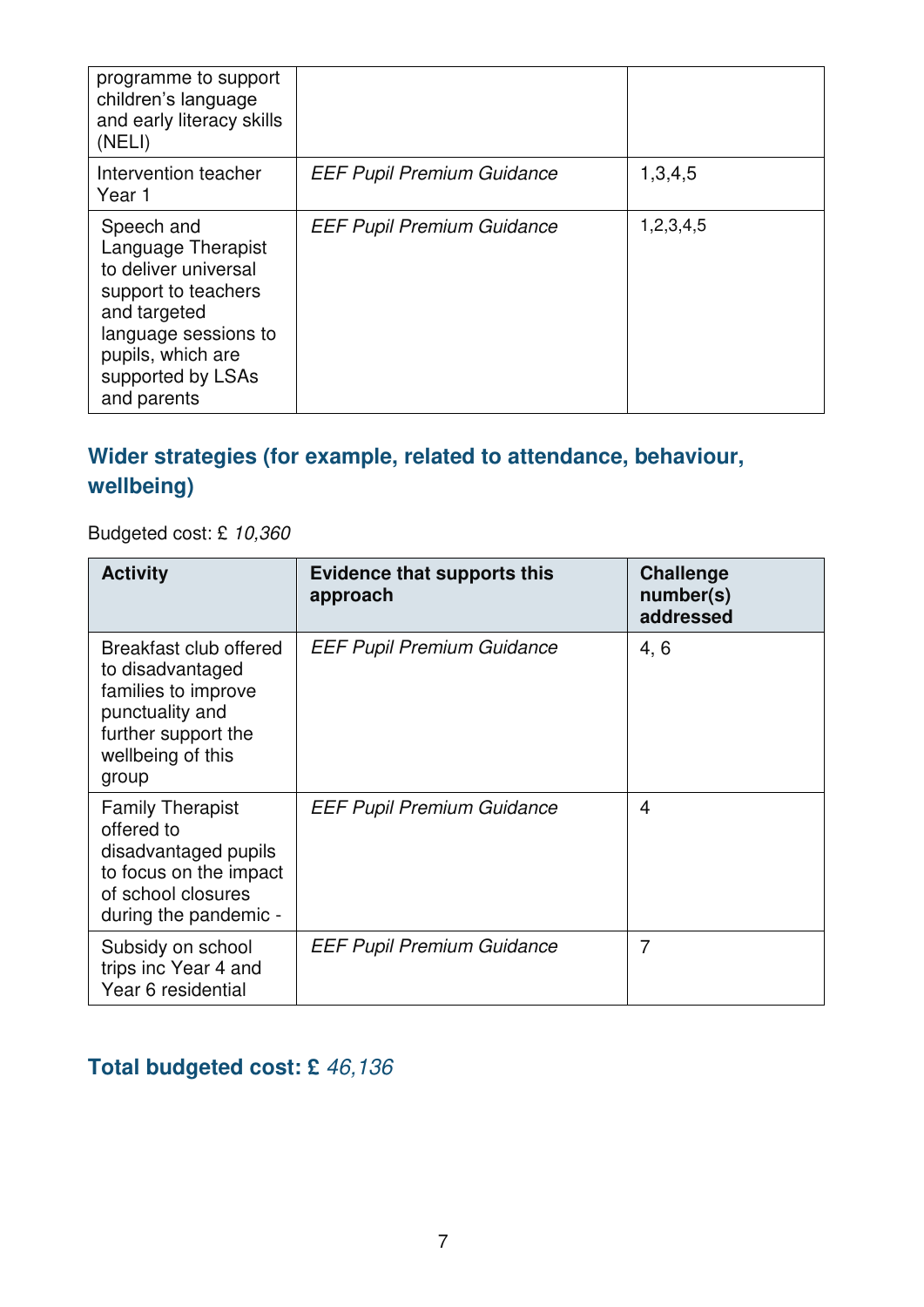| programme to support<br>children's language<br>and early literacy skills<br>(NELI)                                                                                               |                                   |           |
|----------------------------------------------------------------------------------------------------------------------------------------------------------------------------------|-----------------------------------|-----------|
| Intervention teacher<br>Year 1                                                                                                                                                   | <b>EEF Pupil Premium Guidance</b> | 1,3,4,5   |
| Speech and<br>Language Therapist<br>to deliver universal<br>support to teachers<br>and targeted<br>language sessions to<br>pupils, which are<br>supported by LSAs<br>and parents | <b>EEF Pupil Premium Guidance</b> | 1,2,3,4,5 |

### **Wider strategies (for example, related to attendance, behaviour, wellbeing)**

Budgeted cost: £ 10,360

| <b>Activity</b>                                                                                                                           | <b>Evidence that supports this</b><br>approach | <b>Challenge</b><br>number(s)<br>addressed |
|-------------------------------------------------------------------------------------------------------------------------------------------|------------------------------------------------|--------------------------------------------|
| Breakfast club offered<br>to disadvantaged<br>families to improve<br>punctuality and<br>further support the<br>wellbeing of this<br>group | <b>EEF Pupil Premium Guidance</b>              | 4, 6                                       |
| <b>Family Therapist</b><br>offered to<br>disadvantaged pupils<br>to focus on the impact<br>of school closures<br>during the pandemic -    | <b>EEF Pupil Premium Guidance</b>              | 4                                          |
| Subsidy on school<br>trips inc Year 4 and<br>Year 6 residential                                                                           | <b>EEF Pupil Premium Guidance</b>              | 7                                          |

## **Total budgeted cost: £** 46,136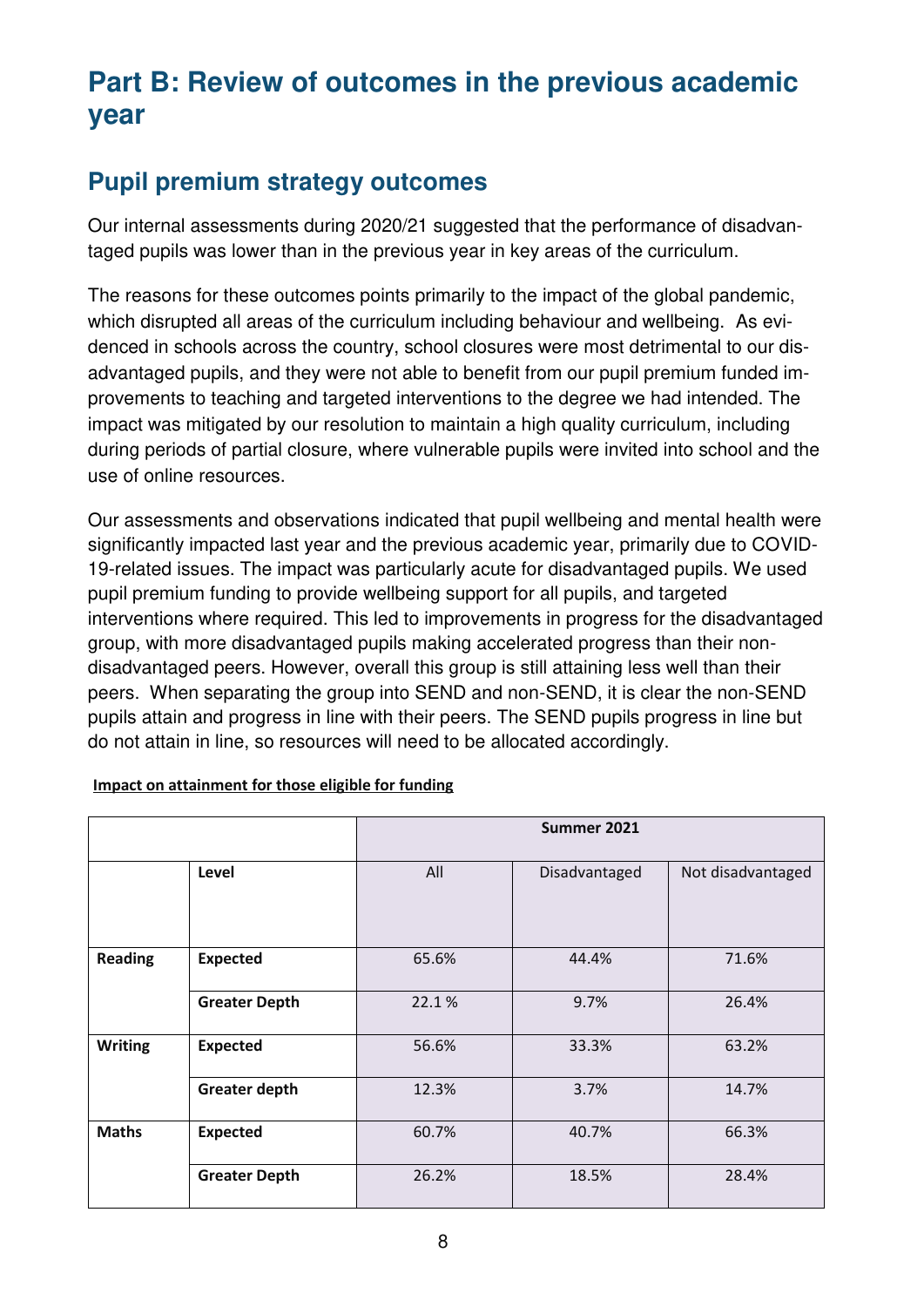# **Part B: Review of outcomes in the previous academic year**

## **Pupil premium strategy outcomes**

Our internal assessments during 2020/21 suggested that the performance of disadvantaged pupils was lower than in the previous year in key areas of the curriculum.

The reasons for these outcomes points primarily to the impact of the global pandemic, which disrupted all areas of the curriculum including behaviour and wellbeing. As evidenced in schools across the country, school closures were most detrimental to our disadvantaged pupils, and they were not able to benefit from our pupil premium funded improvements to teaching and targeted interventions to the degree we had intended. The impact was mitigated by our resolution to maintain a high quality curriculum, including during periods of partial closure, where vulnerable pupils were invited into school and the use of online resources.

Our assessments and observations indicated that pupil wellbeing and mental health were significantly impacted last year and the previous academic year, primarily due to COVID-19-related issues. The impact was particularly acute for disadvantaged pupils. We used pupil premium funding to provide wellbeing support for all pupils, and targeted interventions where required. This led to improvements in progress for the disadvantaged group, with more disadvantaged pupils making accelerated progress than their nondisadvantaged peers. However, overall this group is still attaining less well than their peers. When separating the group into SEND and non-SEND, it is clear the non-SEND pupils attain and progress in line with their peers. The SEND pupils progress in line but do not attain in line, so resources will need to be allocated accordingly.

|                |                      | Summer 2021 |               |                   |
|----------------|----------------------|-------------|---------------|-------------------|
|                | Level                | All         | Disadvantaged | Not disadvantaged |
| <b>Reading</b> | <b>Expected</b>      | 65.6%       | 44.4%         | 71.6%             |
|                | <b>Greater Depth</b> | 22.1%       | 9.7%          | 26.4%             |
| <b>Writing</b> | <b>Expected</b>      | 56.6%       | 33.3%         | 63.2%             |
|                | <b>Greater depth</b> | 12.3%       | 3.7%          | 14.7%             |
| <b>Maths</b>   | <b>Expected</b>      | 60.7%       | 40.7%         | 66.3%             |
|                | <b>Greater Depth</b> | 26.2%       | 18.5%         | 28.4%             |

#### **Impact on attainment for those eligible for funding**